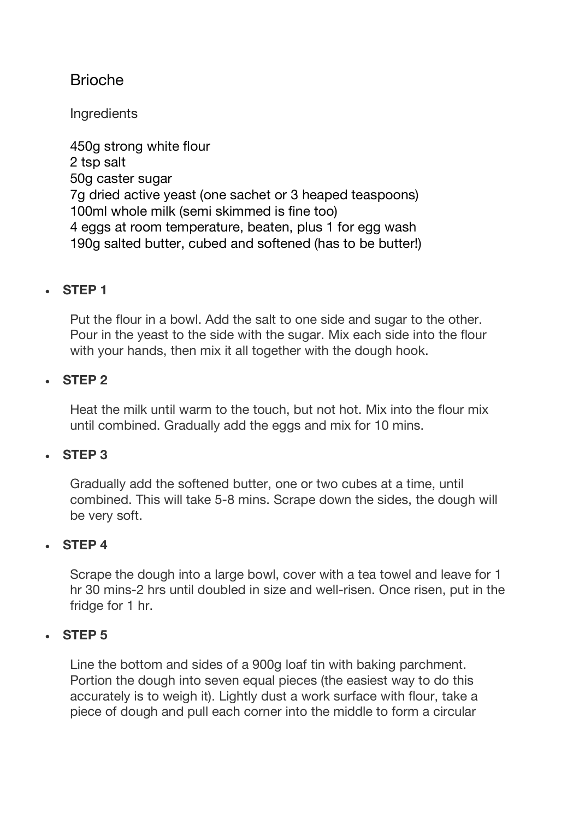# Brioche

**Ingredients** 

450g strong white flour 2 tsp salt 50g caster sugar 7g dried active yeast (one sachet or 3 heaped teaspoons) 100ml whole milk (semi skimmed is fine too) 4 eggs at room temperature, beaten, plus 1 for egg wash 190g salted butter, cubed and softened (has to be butter!)

## • **STEP 1**

Put the flour in a bowl. Add the salt to one side and sugar to the other. Pour in the yeast to the side with the sugar. Mix each side into the flour with your hands, then mix it all together with the dough hook.

#### • **STEP 2**

Heat the milk until warm to the touch, but not hot. Mix into the flour mix until combined. Gradually add the eggs and mix for 10 mins.

## • **STEP 3**

Gradually add the softened butter, one or two cubes at a time, until combined. This will take 5-8 mins. Scrape down the sides, the dough will be very soft.

## • **STEP 4**

Scrape the dough into a large bowl, cover with a tea towel and leave for 1 hr 30 mins-2 hrs until doubled in size and well-risen. Once risen, put in the fridge for 1 hr.

#### • **STEP 5**

Line the bottom and sides of a 900g loaf tin with baking parchment. Portion the dough into seven equal pieces (the easiest way to do this accurately is to weigh it). Lightly dust a work surface with flour, take a piece of dough and pull each corner into the middle to form a circular